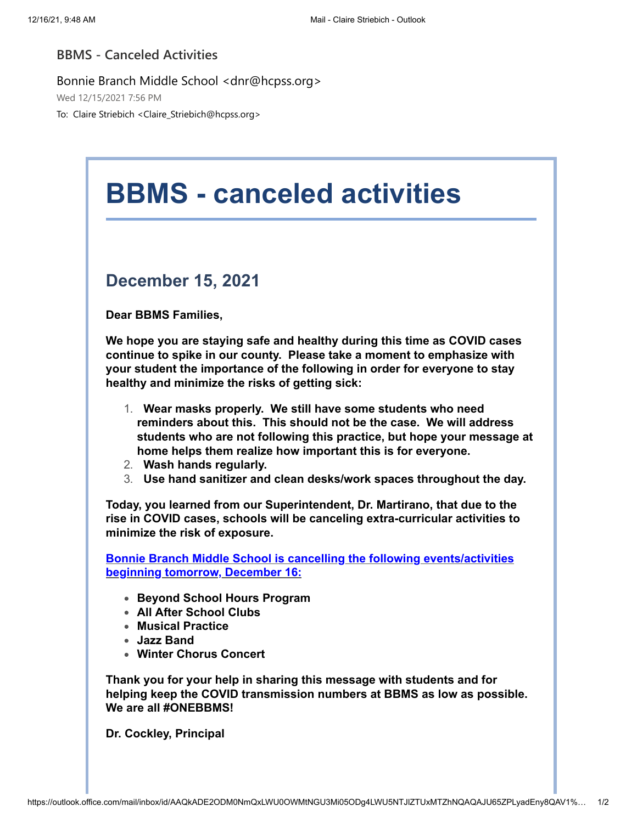## **BBMS - Canceled Activities**

Bonnie Branch Middle School <dnr@hcpss.org>

Wed 12/15/2021 7:56 PM

To: Claire Striebich <Claire\_Striebich@hcpss.org>

## **BBMS - canceled activities December 15, 2021 Dear BBMS Families, We hope you are staying safe and healthy during this time as COVID cases continue to spike in our county. Please take a moment to emphasize with your student the importance of the following in order for everyone to stay healthy and minimize the risks of getting sick:** 1. **Wear masks properly. We still have some students who need reminders about this. This should not be the case. We will address students who are not following this practice, but hope your message at home helps them realize how important this is for everyone.** 2. **Wash hands regularly.** 3. **Use hand sanitizer and clean desks/work spaces throughout the day. Today, you learned from our Superintendent, Dr. Martirano, that due to the rise in COVID cases, schools will be canceling extra-curricular activities to minimize the risk of exposure. Bonnie Branch Middle School is cancelling the following events/activities beginning tomorrow, December 16: Beyond School Hours Program All After School Clubs Musical Practice Jazz Band Winter Chorus Concert Thank you for your help in sharing this message with students and for helping keep the COVID transmission numbers at BBMS as low as possible. We are all #ONEBBMS! Dr. Cockley, Principal**